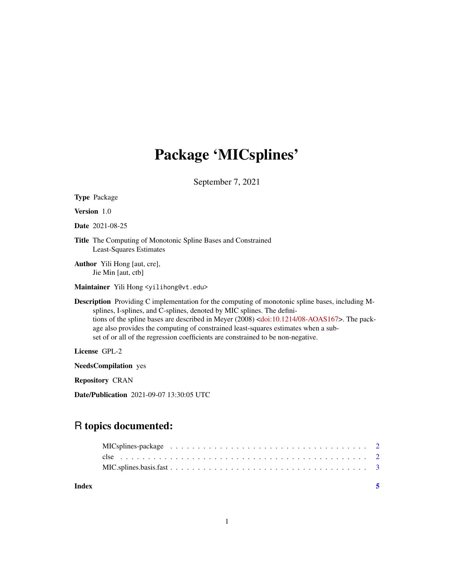## Package 'MICsplines'

September 7, 2021

| <b>Type Package</b>                                                                                                                                                                                                                                                                                                                                                                                                                                                           |
|-------------------------------------------------------------------------------------------------------------------------------------------------------------------------------------------------------------------------------------------------------------------------------------------------------------------------------------------------------------------------------------------------------------------------------------------------------------------------------|
| <b>Version</b> 1.0                                                                                                                                                                                                                                                                                                                                                                                                                                                            |
| <b>Date</b> 2021-08-25                                                                                                                                                                                                                                                                                                                                                                                                                                                        |
| <b>Title</b> The Computing of Monotonic Spline Bases and Constrained<br>Least-Squares Estimates                                                                                                                                                                                                                                                                                                                                                                               |
| <b>Author</b> Yili Hong [aut, cre],<br>Jie Min [aut, ctb]                                                                                                                                                                                                                                                                                                                                                                                                                     |
| Maintainer Yili Hong <yilihong@vt.edu></yilihong@vt.edu>                                                                                                                                                                                                                                                                                                                                                                                                                      |
| <b>Description</b> Providing C implementation for the computing of monotonic spline bases, including M-<br>splines, I-splines, and C-splines, denoted by MIC splines. The defini-<br>tions of the spline bases are described in Meyer (2008) <doi:10.1214 08-aoas167="">. The pack-<br/>age also provides the computing of constrained least-squares estimates when a sub-<br/>set of or all of the regression coefficients are constrained to be non-negative.</doi:10.1214> |
| License GPL-2                                                                                                                                                                                                                                                                                                                                                                                                                                                                 |
| <b>NeedsCompilation</b> yes                                                                                                                                                                                                                                                                                                                                                                                                                                                   |
| <b>Repository CRAN</b>                                                                                                                                                                                                                                                                                                                                                                                                                                                        |

Date/Publication 2021-09-07 13:30:05 UTC

### R topics documented:

| Index |  |  |  |  |  |  |  |  |  |  |  |  |  |
|-------|--|--|--|--|--|--|--|--|--|--|--|--|--|
|       |  |  |  |  |  |  |  |  |  |  |  |  |  |
|       |  |  |  |  |  |  |  |  |  |  |  |  |  |
|       |  |  |  |  |  |  |  |  |  |  |  |  |  |
|       |  |  |  |  |  |  |  |  |  |  |  |  |  |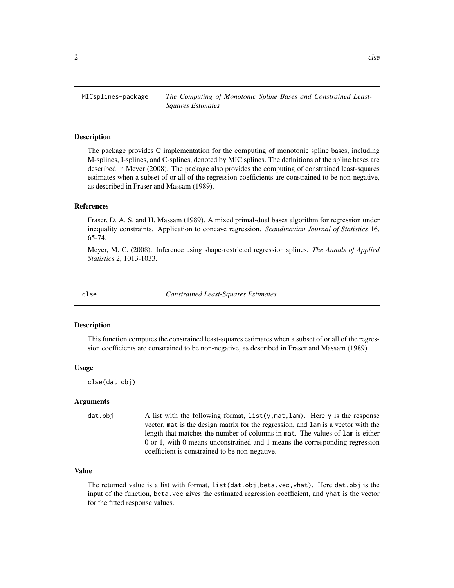<span id="page-1-0"></span>MICsplines-package *The Computing of Monotonic Spline Bases and Constrained Least-Squares Estimates*

#### **Description**

The package provides C implementation for the computing of monotonic spline bases, including M-splines, I-splines, and C-splines, denoted by MIC splines. The definitions of the spline bases are described in Meyer (2008). The package also provides the computing of constrained least-squares estimates when a subset of or all of the regression coefficients are constrained to be non-negative, as described in Fraser and Massam (1989).

#### References

Fraser, D. A. S. and H. Massam (1989). A mixed primal-dual bases algorithm for regression under inequality constraints. Application to concave regression. *Scandinavian Journal of Statistics* 16, 65-74.

Meyer, M. C. (2008). Inference using shape-restricted regression splines. *The Annals of Applied Statistics* 2, 1013-1033.

clse *Constrained Least-Squares Estimates*

#### Description

This function computes the constrained least-squares estimates when a subset of or all of the regression coefficients are constrained to be non-negative, as described in Fraser and Massam (1989).

#### Usage

clse(dat.obj)

#### Arguments

dat.obj A list with the following format, list(y,mat,lam). Here y is the response vector, mat is the design matrix for the regression, and lam is a vector with the length that matches the number of columns in mat. The values of lam is either 0 or 1, with 0 means unconstrained and 1 means the corresponding regression coefficient is constrained to be non-negative.

#### Value

The returned value is a list with format, list(dat.obj,beta.vec,yhat). Here dat.obj is the input of the function, beta.vec gives the estimated regression coefficient, and yhat is the vector for the fitted response values.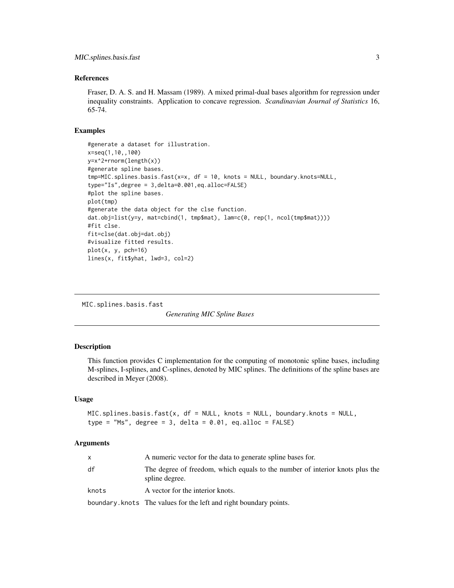#### <span id="page-2-0"></span>References

Fraser, D. A. S. and H. Massam (1989). A mixed primal-dual bases algorithm for regression under inequality constraints. Application to concave regression. *Scandinavian Journal of Statistics* 16, 65-74.

#### Examples

```
#generate a dataset for illustration.
x=seq(1,10,,100)
y=x^2+rnorm(length(x))
#generate spline bases.
tmp=MIC.splines.basis.fast(x=x, df = 10, knots = NULL, boundary.knots=NULL,
type="Is",degree = 3,delta=0.001,eq.alloc=FALSE)
#plot the spline bases.
plot(tmp)
#generate the data object for the clse function.
dat.obj=list(y=y, mat=cbind(1, tmp$mat), lam=c(0, rep(1, ncol(tmp$mat))))
#fit clse.
fit=clse(dat.obj=dat.obj)
#visualize fitted results.
plot(x, y, pch=16)
lines(x, fit$yhat, lwd=3, col=2)
```
MIC.splines.basis.fast

*Generating MIC Spline Bases*

#### Description

This function provides C implementation for the computing of monotonic spline bases, including M-splines, I-splines, and C-splines, denoted by MIC splines. The definitions of the spline bases are described in Meyer (2008).

#### Usage

 $MIC. splines.basis.fast(x, df = NULL, knots = NULL, boundary.knots = NULL,$ type = "Ms", degree =  $3$ , delta =  $0.01$ , eq.alloc = FALSE)

#### Arguments

|       | A numeric vector for the data to generate spline bases for.                                    |
|-------|------------------------------------------------------------------------------------------------|
| df    | The degree of freedom, which equals to the number of interior knots plus the<br>spline degree. |
| knots | A vector for the interior knots.                                                               |
|       | boundary.knots The values for the left and right boundary points.                              |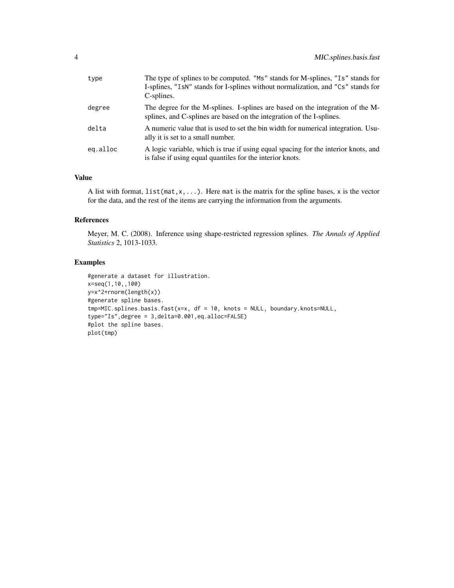| type     | The type of splines to be computed. "Ms" stands for M-splines, "Is" stands for<br>I-splines, "IsN" stands for I-splines without normalization, and "Cs" stands for<br>C-splines. |
|----------|----------------------------------------------------------------------------------------------------------------------------------------------------------------------------------|
| degree   | The degree for the M-splines. I-splines are based on the integration of the M-<br>splines, and C-splines are based on the integration of the I-splines.                          |
| delta    | A numeric value that is used to set the bin width for numerical integration. Usu-<br>ally it is set to a small number.                                                           |
| eg.alloc | A logic variable, which is true if using equal spacing for the interior knots, and<br>is false if using equal quantiles for the interior knots.                                  |

#### Value

A list with format,  $list(max, x, \ldots)$ . Here mat is the matrix for the spline bases, x is the vector for the data, and the rest of the items are carrying the information from the arguments.

#### References

Meyer, M. C. (2008). Inference using shape-restricted regression splines. *The Annals of Applied Statistics* 2, 1013-1033.

#### Examples

```
#generate a dataset for illustration.
x=seq(1,10,,100)
y=x^2+rnorm(length(x))
#generate spline bases.
tmp=MIC.splines.basis.fast(x=x, df = 10, knots = NULL, boundary.knots=NULL,
type="Is",degree = 3,delta=0.001,eq.alloc=FALSE)
#plot the spline bases.
plot(tmp)
```